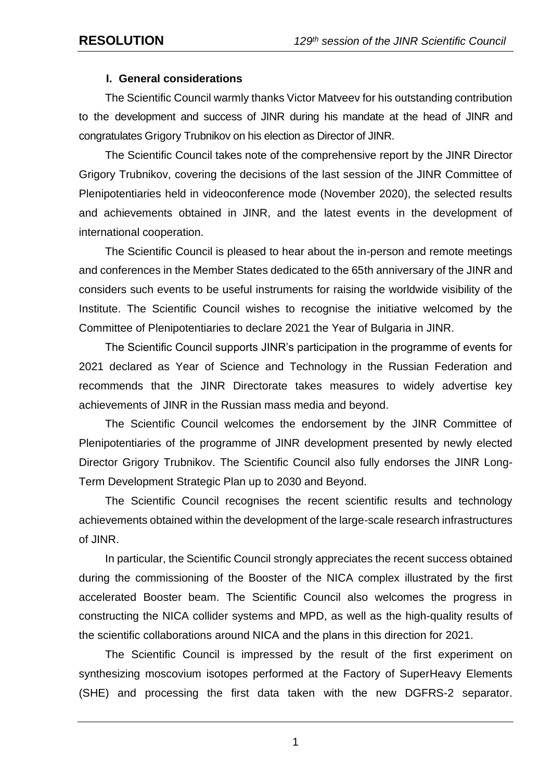### **I. General considerations**

The Scientific Council warmly thanks Victor Matveev for his outstanding contribution to the development and success of JINR during his mandate at the head of JINR and congratulates Grigory Trubnikov on his election as Director of JINR.

The Scientific Council takes note of the comprehensive report by the JINR Director Grigory Trubnikov, covering the decisions of the last session of the JINR Committee of Plenipotentiaries held in videoconference mode (November 2020), the selected results and achievements obtained in JINR, and the latest events in the development of international cooperation.

The Scientific Council is pleased to hear about the in-person and remote meetings and conferences in the Member States dedicated to the 65th anniversary of the JINR and considers such events to be useful instruments for raising the worldwide visibility of the Institute. The Scientific Council wishes to recognise the initiative welcomed by the Committee of Plenipotentiaries to declare 2021 the Year of Bulgaria in JINR.

The Scientific Council supports JINR's participation in the programme of events for 2021 declared as Year of Science and Technology in the Russian Federation and recommends that the JINR Directorate takes measures to widely advertise key achievements of JINR in the Russian mass media and beyond.

The Scientific Council welcomes the endorsement by the JINR Committee of Plenipotentiaries of the programme of JINR development presented by newly elected Director Grigory Trubnikov. The Scientific Council also fully endorses the JINR Long-Term Development Strategic Plan up to 2030 and Beyond.

The Scientific Council recognises the recent scientific results and technology achievements obtained within the development of the large-scale research infrastructures of JINR.

In particular, the Scientific Council strongly appreciates the recent success obtained during the commissioning of the Booster of the NICA complex illustrated by the first accelerated Booster beam. The Scientific Council also welcomes the progress in constructing the NICA collider systems and MPD, as well as the high-quality results of the scientific collaborations around NICA and the plans in this direction for 2021.

The Scientific Council is impressed by the result of the first experiment on synthesizing moscovium isotopes performed at the Factory of SuperHeavy Elements (SHE) and processing the first data taken with the new DGFRS-2 separator.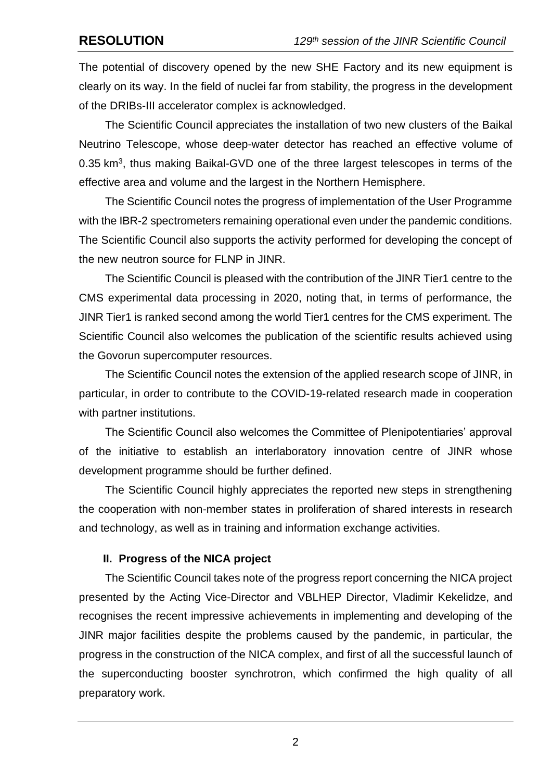The potential of discovery opened by the new SHE Factory and its new equipment is clearly on its way. In the field of nuclei far from stability, the progress in the development of the DRIBs-III accelerator complex is acknowledged.

The Scientific Council appreciates the installation of two new clusters of the Baikal Neutrino Telescope, whose deep-water detector has reached an effective volume of 0.35 km<sup>3</sup>, thus making Baikal-GVD one of the three largest telescopes in terms of the effective area and volume and the largest in the Northern Hemisphere.

The Scientific Council notes the progress of implementation of the User Programme with the IBR-2 spectrometers remaining operational even under the pandemic conditions. The Scientific Council also supports the activity performed for developing the concept of the new neutron source for FLNP in JINR.

The Scientific Council is pleased with the contribution of the JINR Tier1 centre to the CMS experimental data processing in 2020, noting that, in terms of performance, the JINR Tier1 is ranked second among the world Tier1 centres for the CMS experiment. The Scientific Council also welcomes the publication of the scientific results achieved using the Govorun supercomputer resources.

The Scientific Council notes the extension of the applied research scope of JINR, in particular, in order to contribute to the COVID-19-related research made in cooperation with partner institutions.

The Scientific Council also welcomes the Committee of Plenipotentiaries' approval of the initiative to establish an interlaboratory innovation centre of JINR whose development programme should be further defined.

The Scientific Council highly appreciates the reported new steps in strengthening the cooperation with non-member states in proliferation of shared interests in research and technology, as well as in training and information exchange activities.

### **II. Progress of the NICA project**

The Scientific Council takes note of the progress report concerning the NICA project presented by the Acting Vice-Director and VBLHEP Director, Vladimir Kekelidze, and recognises the recent impressive achievements in implementing and developing of the JINR major facilities despite the problems caused by the pandemic, in particular, the progress in the construction of the NICA complex, and first of all the successful launch of the superconducting booster synchrotron, which confirmed the high quality of all preparatory work.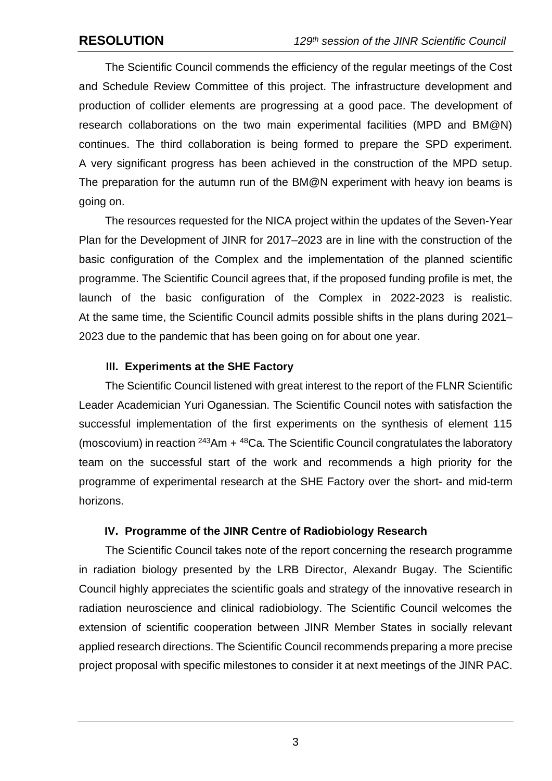The Scientific Council commends the efficiency of the regular meetings of the Cost and Schedule Review Committee of this project. The infrastructure development and production of collider elements are progressing at a good pace. The development of research collaborations on the two main experimental facilities (MPD and BM@N) continues. The third collaboration is being formed to prepare the SPD experiment. A very significant progress has been achieved in the construction of the MPD setup. The preparation for the autumn run of the BM@N experiment with heavy ion beams is going on.

The resources requested for the NICA project within the updates of the Seven-Year Plan for the Development of JINR for 2017–2023 are in line with the construction of the basic configuration of the Complex and the implementation of the planned scientific programme. The Scientific Council agrees that, if the proposed funding profile is met, the launch of the basic configuration of the Complex in 2022-2023 is realistic. At the same time, the Scientific Council admits possible shifts in the plans during 2021– 2023 due to the pandemic that has been going on for about one year.

## **III. Experiments at the SHE Factory**

The Scientific Council listened with great interest to the report of the FLNR Scientific Leader Academician Yuri Oganessian. The Scientific Council notes with satisfaction the successful implementation of the first experiments on the synthesis of element 115 (moscovium) in reaction  $243$ Am +  $48$ Ca. The Scientific Council congratulates the laboratory team on the successful start of the work and recommends a high priority for the programme of experimental research at the SHE Factory over the short- and mid-term horizons.

# **IV. Programme of the JINR Centre of Radiobiology Research**

The Scientific Council takes note of the report concerning the research programme in radiation biology presented by the LRB Director, Alexandr Bugay. The Scientific Council highly appreciates the scientific goals and strategy of the innovative research in radiation neuroscience and clinical radiobiology. The Scientific Council welcomes the extension of scientific cooperation between JINR Member States in socially relevant applied research directions. The Scientific Council recommends preparing a more precise project proposal with specific milestones to consider it at next meetings of the JINR PAC.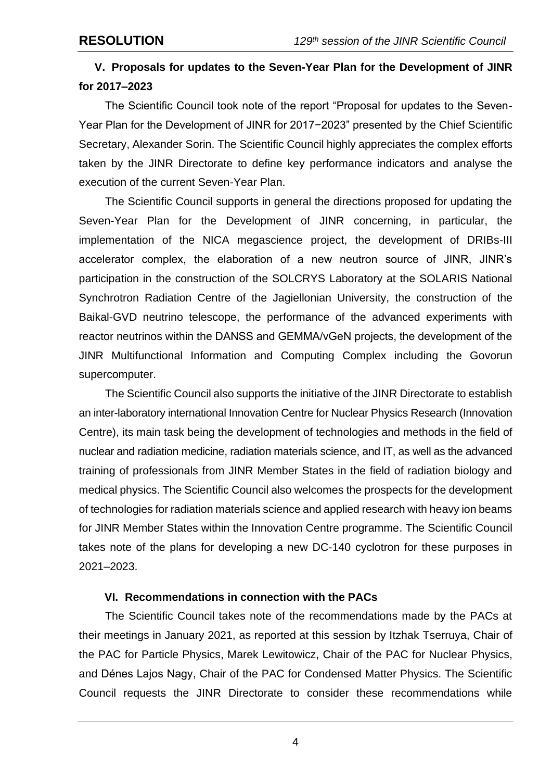# **V. Proposals for updates to the Seven-Year Plan for the Development of JINR for 2017–2023**

The Scientific Council took note of the report "Proposal for updates to the Seven-Year Plan for the Development of JINR for 2017−2023" presented by the Chief Scientific Secretary, Alexander Sorin. The Scientific Council highly appreciates the complex efforts taken by the JINR Directorate to define key performance indicators and analyse the execution of the current Seven-Year Plan.

The Scientific Council supports in general the directions proposed for updating the Seven-Year Plan for the Development of JINR concerning, in particular, the implementation of the NICA megascience project, the development of DRIBs-III accelerator complex, the elaboration of a new neutron source of JINR, JINR's participation in the construction of the SOLCRYS Laboratory at the SOLARIS National Synchrotron Radiation Centre of the Jagiellonian University, the construction of the Baikal-GVD neutrino telescope, the performance of the advanced experiments with reactor neutrinos within the DANSS and GEMMA/νGeN projects, the development of the JINR Multifunctional Information and Computing Complex including the Govorun supercomputer.

The Scientific Council also supports the initiative of the JINR Directorate to establish an inter-laboratory international Innovation Centre for Nuclear Physics Research (Innovation Centre), its main task being the development of technologies and methods in the field of nuclear and radiation medicine, radiation materials science, and IT, as well as the advanced training of professionals from JINR Member States in the field of radiation biology and medical physics. The Scientific Council also welcomes the prospects for the development of technologies for radiation materials science and applied research with heavy ion beams for JINR Member States within the Innovation Centre programme. The Scientific Council takes note of the plans for developing a new DC-140 cyclotron for these purposes in 2021–2023.

## **VI. Recommendations in connection with the PACs**

The Scientific Council takes note of the recommendations made by the PACs at their meetings in January 2021, as reported at this session by Itzhak Tserruya, Chair of the PAC for Particle Physics, Marek Lewitowicz, Chair of the PAC for Nuclear Physics, and Dénes Lajos Nagy, Chair of the PAC for Condensed Matter Physics. The Scientific Council requests the JINR Directorate to consider these recommendations while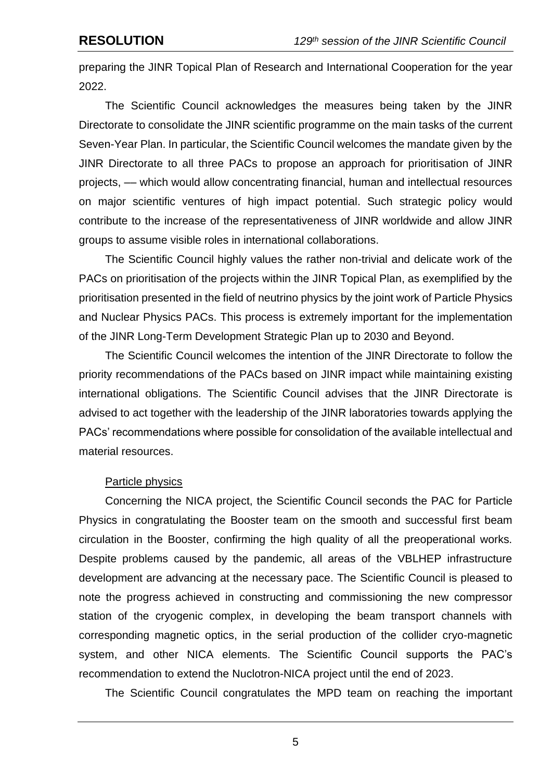preparing the JINR Topical Plan of Research and International Cooperation for the year 2022.

The Scientific Council acknowledges the measures being taken by the JINR Directorate to consolidate the JINR scientific programme on the main tasks of the current Seven-Year Plan. In particular, the Scientific Council welcomes the mandate given by the JINR Directorate to all three PACs to propose an approach for prioritisation of JINR projects, –– which would allow concentrating financial, human and intellectual resources on major scientific ventures of high impact potential. Such strategic policy would contribute to the increase of the representativeness of JINR worldwide and allow JINR groups to assume visible roles in international collaborations.

The Scientific Council highly values the rather non-trivial and delicate work of the PACs on prioritisation of the projects within the JINR Topical Plan, as exemplified by the prioritisation presented in the field of neutrino physics by the joint work of Particle Physics and Nuclear Physics PACs. This process is extremely important for the implementation of the JINR Long-Term Development Strategic Plan up to 2030 and Beyond.

The Scientific Council welcomes the intention of the JINR Directorate to follow the priority recommendations of the PACs based on JINR impact while maintaining existing international obligations. The Scientific Council advises that the JINR Directorate is advised to act together with the leadership of the JINR laboratories towards applying the PACs' recommendations where possible for consolidation of the available intellectual and material resources.

### Particle physics

Concerning the NICA project, the Scientific Council seconds the PAC for Particle Physics in congratulating the Booster team on the smooth and successful first beam circulation in the Booster, confirming the high quality of all the preoperational works. Despite problems caused by the pandemic, all areas of the VBLHEP infrastructure development are advancing at the necessary pace. The Scientific Council is pleased to note the progress achieved in constructing and commissioning the new compressor station of the cryogenic complex, in developing the beam transport channels with corresponding magnetic optics, in the serial production of the collider cryo-magnetic system, and other NICA elements. The Scientific Council supports the PAC's recommendation to extend the Nuclotron-NICA project until the end of 2023.

The Scientific Council congratulates the MPD team on reaching the important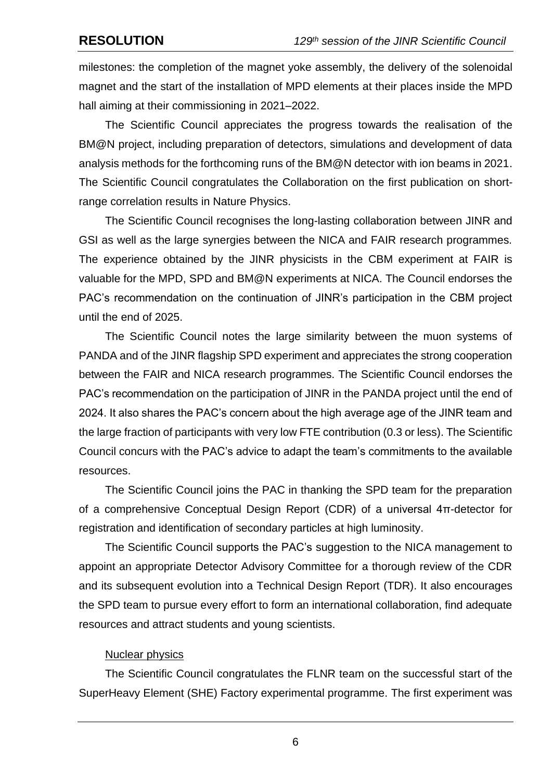milestones: the completion of the magnet yoke assembly, the delivery of the solenoidal magnet and the start of the installation of MPD elements at their places inside the MPD hall aiming at their commissioning in 2021–2022.

The Scientific Council appreciates the progress towards the realisation of the BM@N project, including preparation of detectors, simulations and development of data analysis methods for the forthcoming runs of the BM@N detector with ion beams in 2021. The Scientific Council congratulates the Collaboration on the first publication on shortrange correlation results in Nature Physics.

The Scientific Council recognises the long-lasting collaboration between JINR and GSI as well as the large synergies between the NICA and FAIR research programmes. The experience obtained by the JINR physicists in the CBM experiment at FAIR is valuable for the MPD, SPD and BM@N experiments at NICA. The Council endorses the PAC's recommendation on the continuation of JINR's participation in the CBM project until the end of 2025.

The Scientific Council notes the large similarity between the muon systems of PANDA and of the JINR flagship SPD experiment and appreciates the strong cooperation between the FAIR and NICA research programmes. The Scientific Council endorses the PAC's recommendation on the participation of JINR in the PANDA project until the end of 2024. It also shares the PAC's concern about the high average age of the JINR team and the large fraction of participants with very low FTE contribution (0.3 or less). The Scientific Council concurs with the PAC's advice to adapt the team's commitments to the available resources.

The Scientific Council joins the PAC in thanking the SPD team for the preparation of a comprehensive Conceptual Design Report (CDR) of a universal 4π-detector for registration and identification of secondary particles at high luminosity.

The Scientific Council supports the PAC's suggestion to the NICA management to appoint an appropriate Detector Advisory Committee for a thorough review of the CDR and its subsequent evolution into a Technical Design Report (TDR). It also encourages the SPD team to pursue every effort to form an international collaboration, find adequate resources and attract students and young scientists.

### Nuclear physics

The Scientific Council congratulates the FLNR team on the successful start of the SuperHeavy Element (SHE) Factory experimental programme. The first experiment was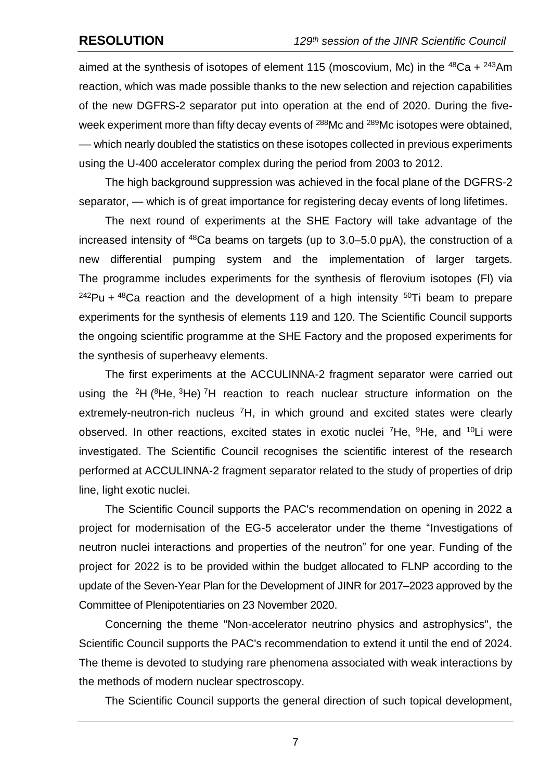aimed at the synthesis of isotopes of element 115 (moscovium, Mc) in the  $48$ Ca +  $243$ Am reaction, which was made possible thanks to the new selection and rejection capabilities of the new DGFRS-2 separator put into operation at the end of 2020. During the fiveweek experiment more than fifty decay events of <sup>288</sup>Mc and <sup>289</sup>Mc isotopes were obtained, –– which nearly doubled the statistics on these isotopes collected in previous experiments using the U-400 accelerator complex during the period from 2003 to 2012.

The high background suppression was achieved in the focal plane of the DGFRS-2 separator, — which is of great importance for registering decay events of long lifetimes.

The next round of experiments at the SHE Factory will take advantage of the increased intensity of  $48$ Ca beams on targets (up to 3.0–5.0 puA), the construction of a new differential pumping system and the implementation of larger targets. The programme includes experiments for the synthesis of flerovium isotopes (Fl) via  $242$ Pu +  $48$ Ca reaction and the development of a high intensity  $50$ Ti beam to prepare experiments for the synthesis of elements 119 and 120. The Scientific Council supports the ongoing scientific programme at the SHE Factory and the proposed experiments for the synthesis of superheavy elements.

The first experiments at the ACCULINNA-2 fragment separator were carried out using the  ${}^{2}H$  ( ${}^{8}He$ ,  ${}^{3}He$ )  ${}^{7}H$  reaction to reach nuclear structure information on the extremely-neutron-rich nucleus <sup>7</sup>H, in which ground and excited states were clearly observed. In other reactions, excited states in exotic nuclei <sup>7</sup>He, <sup>9</sup>He, and <sup>10</sup>Li were investigated. The Scientific Council recognises the scientific interest of the research performed at ACCULINNA-2 fragment separator related to the study of properties of drip line, light exotic nuclei.

The Scientific Council supports the PAC's recommendation on opening in 2022 a project for modernisation of the EG-5 accelerator under the theme "Investigations of neutron nuclei interactions and properties of the neutron" for one year. Funding of the project for 2022 is to be provided within the budget allocated to FLNP according to the update of the Seven-Year Plan for the Development of JINR for 2017–2023 approved by the Committee of Plenipotentiaries on 23 November 2020.

Concerning the theme "Non-accelerator neutrino physics and astrophysics", the Scientific Council supports the PAC's recommendation to extend it until the end of 2024. The theme is devoted to studying rare phenomena associated with weak interactions by the methods of modern nuclear spectroscopy.

The Scientific Council supports the general direction of such topical development,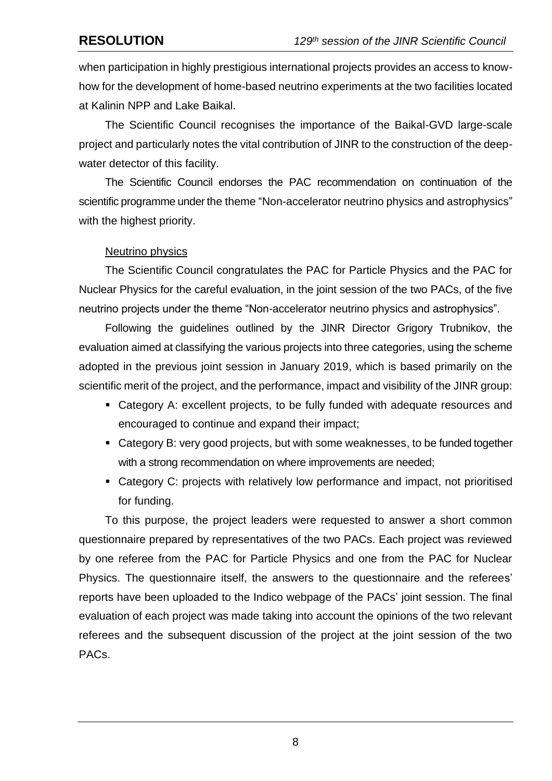when participation in highly prestigious international projects provides an access to knowhow for the development of home-based neutrino experiments at the two facilities located at Kalinin NPP and Lake Baikal.

The Scientific Council recognises the importance of the Baikal-GVD large-scale project and particularly notes the vital contribution of JINR to the construction of the deepwater detector of this facility.

The Scientific Council endorses the PAC recommendation on continuation of the scientific programme under the theme "Non-accelerator neutrino physics and astrophysics" with the highest priority.

### Neutrino physics

The Scientific Council congratulates the PAC for Particle Physics and the PAC for Nuclear Physics for the careful evaluation, in the joint session of the two PACs, of the five neutrino projects under the theme "Non-accelerator neutrino physics and astrophysics".

Following the guidelines outlined by the JINR Director Grigory Trubnikov, the evaluation aimed at classifying the various projects into three categories, using the scheme adopted in the previous joint session in January 2019, which is based primarily on the scientific merit of the project, and the performance, impact and visibility of the JINR group:

- Category A: excellent projects, to be fully funded with adequate resources and encouraged to continue and expand their impact;
- Category B: very good projects, but with some weaknesses, to be funded together with a strong recommendation on where improvements are needed:
- Category C: projects with relatively low performance and impact, not prioritised for funding.

To this purpose, the project leaders were requested to answer a short common questionnaire prepared by representatives of the two PACs. Each project was reviewed by one referee from the PAC for Particle Physics and one from the PAC for Nuclear Physics. The questionnaire itself, the answers to the questionnaire and the referees' reports have been uploaded to the Indico webpage of the PACs' joint session. The final evaluation of each project was made taking into account the opinions of the two relevant referees and the subsequent discussion of the project at the joint session of the two PACs.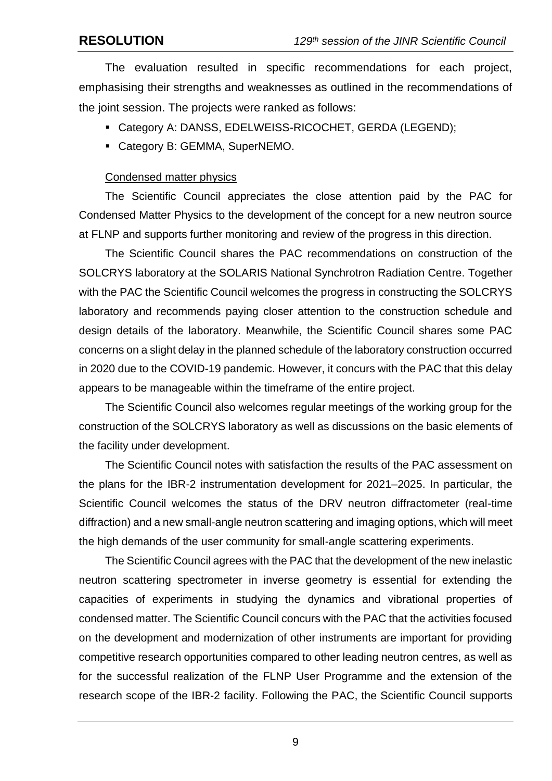The evaluation resulted in specific recommendations for each project, emphasising their strengths and weaknesses as outlined in the recommendations of the joint session. The projects were ranked as follows:

- Category A: DANSS, EDELWEISS-RICOCHET, GERDA (LEGEND);
- Category B: GEMMA, SuperNEMO.

### Condensed matter physics

The Scientific Council appreciates the close attention paid by the PAC for Condensed Matter Physics to the development of the concept for a new neutron source at FLNP and supports further monitoring and review of the progress in this direction.

The Scientific Council shares the PAC recommendations on construction of the SOLCRYS laboratory at the SOLARIS National Synchrotron Radiation Centre. Together with the PAC the Scientific Council welcomes the progress in constructing the SOLCRYS laboratory and recommends paying closer attention to the construction schedule and design details of the laboratory. Meanwhile, the Scientific Council shares some PAC concerns on a slight delay in the planned schedule of the laboratory construction occurred in 2020 due to the COVID-19 pandemic. However, it concurs with the PAC that this delay appears to be manageable within the timeframe of the entire project.

The Scientific Council also welcomes regular meetings of the working group for the construction of the SOLCRYS laboratory as well as discussions on the basic elements of the facility under development.

The Scientific Council notes with satisfaction the results of the PAC assessment on the plans for the IBR-2 instrumentation development for 2021–2025. In particular, the Scientific Council welcomes the status of the DRV neutron diffractometer (real-time diffraction) and a new small-angle neutron scattering and imaging options, which will meet the high demands of the user community for small-angle scattering experiments.

The Scientific Council agrees with the PAC that the development of the new inelastic neutron scattering spectrometer in inverse geometry is essential for extending the capacities of experiments in studying the dynamics and vibrational properties of condensed matter. The Scientific Council concurs with the PAC that the activities focused on the development and modernization of other instruments are important for providing competitive research opportunities compared to other leading neutron centres, as well as for the successful realization of the FLNP User Programme and the extension of the research scope of the IBR-2 facility. Following the PAC, the Scientific Council supports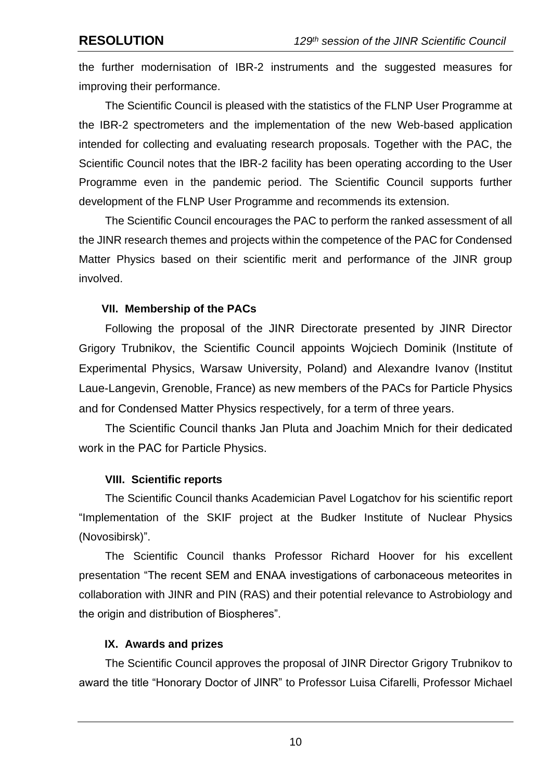the further modernisation of IBR-2 instruments and the suggested measures for improving their performance.

The Scientific Council is pleased with the statistics of the FLNP User Programme at the IBR-2 spectrometers and the implementation of the new Web-based application intended for collecting and evaluating research proposals. Together with the PAC, the Scientific Council notes that the IBR-2 facility has been operating according to the User Programme even in the pandemic period. The Scientific Council supports further development of the FLNP User Programme and recommends its extension.

The Scientific Council encourages the PAC to perform the ranked assessment of all the JINR research themes and projects within the competence of the PAC for Condensed Matter Physics based on their scientific merit and performance of the JINR group involved.

## **VII. Membership of the PACs**

Following the proposal of the JINR Directorate presented by JINR Director Grigory Trubnikov, the Scientific Council appoints Wojciech Dominik (Institute of Experimental Physics, Warsaw University, Poland) and Alexandre Ivanov (Institut Laue-Langevin, Grenoble, France) as new members of the PACs for Particle Physics and for Condensed Matter Physics respectively, for a term of three years.

The Scientific Council thanks Jan Pluta and Joachim Mnich for their dedicated work in the PAС for Particle Physics.

## **VIII. Scientific reports**

The Scientific Council thanks Academician Pavel Logatchov for his scientific report "Implementation of the SKIF project at the Budker Institute of Nuclear Physics (Novosibirsk)".

The Scientific Council thanks Professor Richard Hoover for his excellent presentation "The recent SEM and ENAA investigations of carbonaceous meteorites in collaboration with JINR and PIN (RAS) and their potential relevance to Astrobiology and the origin and distribution of Biospheres".

## **IX. Awards and prizes**

The Scientific Council approves the proposal of JINR Director Grigory Trubnikov to award the title "Honorary Doctor of JINR" to Professor Luisa Cifarelli, Professor Michael